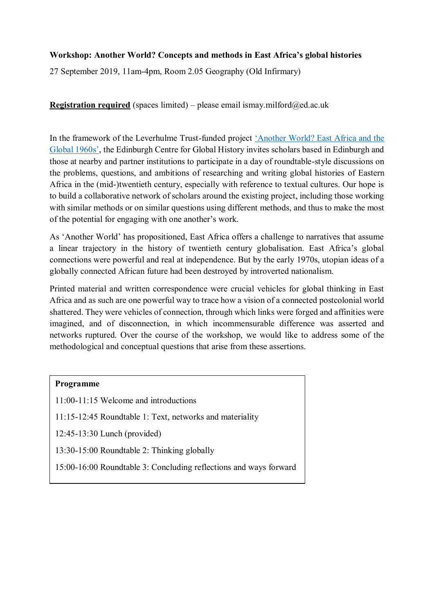## **Workshop: Another World? Concepts and methods in East Africa's global histories**

27 September 2019, 11am-4pm, Room 2.05 Geography (Old Infirmary)

**Registration required** (spaces limited) – please email ismay.milford $@ed.ac.uk$ 

In the framework of the Leverhulme Trust-funded project ['Another World? East Africa and the](https://www.ed.ac.uk/history-classics-archaeology/research/research-projects/another-world-east-africa-and-the-global-1960s)  [Global 1960s'](https://www.ed.ac.uk/history-classics-archaeology/research/research-projects/another-world-east-africa-and-the-global-1960s), the Edinburgh Centre for Global History invites scholars based in Edinburgh and those at nearby and partner institutions to participate in a day of roundtable-style discussions on the problems, questions, and ambitions of researching and writing global histories of Eastern Africa in the (mid-)twentieth century, especially with reference to textual cultures. Our hope is to build a collaborative network of scholars around the existing project, including those working with similar methods or on similar questions using different methods, and thus to make the most of the potential for engaging with one another's work.

As 'Another World' has propositioned, East Africa offers a challenge to narratives that assume a linear trajectory in the history of twentieth century globalisation. East Africa's global connections were powerful and real at independence. But by the early 1970s, utopian ideas of a globally connected African future had been destroyed by introverted nationalism.

Printed material and written correspondence were crucial vehicles for global thinking in East Africa and as such are one powerful way to trace how a vision of a connected postcolonial world shattered. They were vehicles of connection, through which links were forged and affinities were imagined, and of disconnection, in which incommensurable difference was asserted and networks ruptured. Over the course of the workshop, we would like to address some of the methodological and conceptual questions that arise from these assertions.

### **Programme**

11:00-11:15 Welcome and introductions

11:15-12:45 Roundtable 1: Text, networks and materiality

12:45-13:30 Lunch (provided)

13:30-15:00 Roundtable 2: Thinking globally

15:00-16:00 Roundtable 3: Concluding reflections and ways forward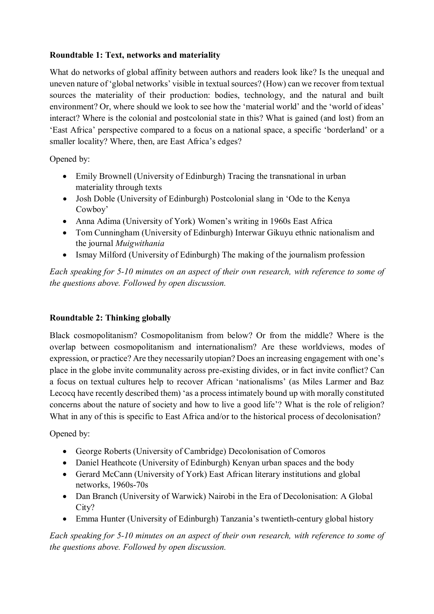## **Roundtable 1: Text, networks and materiality**

What do networks of global affinity between authors and readers look like? Is the unequal and uneven nature of 'global networks' visible in textual sources? (How) can we recover from textual sources the materiality of their production: bodies, technology, and the natural and built environment? Or, where should we look to see how the 'material world' and the 'world of ideas' interact? Where is the colonial and postcolonial state in this? What is gained (and lost) from an 'East Africa' perspective compared to a focus on a national space, a specific 'borderland' or a smaller locality? Where, then, are East Africa's edges?

Opened by:

- Emily Brownell (University of Edinburgh) Tracing the transnational in urban materiality through texts
- Josh Doble (University of Edinburgh) Postcolonial slang in 'Ode to the Kenya Cowboy'
- Anna Adima (University of York) Women's writing in 1960s East Africa
- Tom Cunningham (University of Edinburgh) Interwar Gikuyu ethnic nationalism and the journal *Muigwithania*
- Ismay Milford (University of Edinburgh) The making of the journalism profession

*Each speaking for 5-10 minutes on an aspect of their own research, with reference to some of the questions above. Followed by open discussion.*

# **Roundtable 2: Thinking globally**

Black cosmopolitanism? Cosmopolitanism from below? Or from the middle? Where is the overlap between cosmopolitanism and internationalism? Are these worldviews, modes of expression, or practice? Are they necessarily utopian? Does an increasing engagement with one's place in the globe invite communality across pre-existing divides, or in fact invite conflict? Can a focus on textual cultures help to recover African 'nationalisms' (as Miles Larmer and Baz Lecocq have recently described them) 'as a process intimately bound up with morally constituted concerns about the nature of society and how to live a good life'? What is the role of religion? What in any of this is specific to East Africa and/or to the historical process of decolonisation?

Opened by:

- George Roberts (University of Cambridge) Decolonisation of Comoros
- Daniel Heathcote (University of Edinburgh) Kenyan urban spaces and the body
- Gerard McCann (University of York) East African literary institutions and global networks, 1960s-70s
- Dan Branch (University of Warwick) Nairobi in the Era of Decolonisation: A Global City?
- Emma Hunter (University of Edinburgh) Tanzania's twentieth-century global history

*Each speaking for 5-10 minutes on an aspect of their own research, with reference to some of the questions above. Followed by open discussion.*